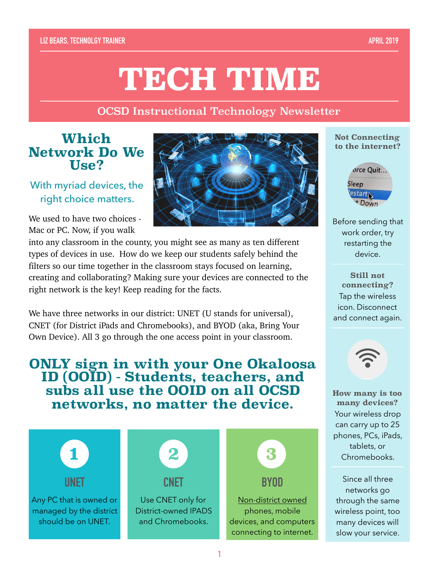#### **LIZ BEARS, TECHNOLGY TRAINER APRIL 2019**

# **TECH TIME**

OCSD Instructional Technology Newsletter

## **Which Network Do We Use?**

With myriad devices, the right choice matters.

We used to have two choices -Mac or PC. Now, if you walk



into any classroom in the county, you might see as many as ten different types of devices in use. How do we keep our students safely behind the filters so our time together in the classroom stays focused on learning, creating and collaborating? Making sure your devices are connected to the right network is the key! Keep reading for the facts.

We have three networks in our district: UNET (U stands for universal), CNET (for District iPads and Chromebooks), and BYOD (aka, Bring Your Own Device). All 3 go through the one access point in your classroom.

**ONLY sign in with your One Okaloosa ID (OOID) - Students, teachers, and subs all use the OOID on all OCSD networks, no matter the device.** 



#### **Not Connecting to the internet?**



Before sending that work order, try restarting the device.

**Still not connecting?**  Tap the wireless icon. Disconnect and connect again.



**How many is too many devices?**  Your wireless drop can carry up to 25 phones, PCs, iPads, tablets, or Chromebooks.

Since all three networks go through the same wireless point, too many devices will slow your service.